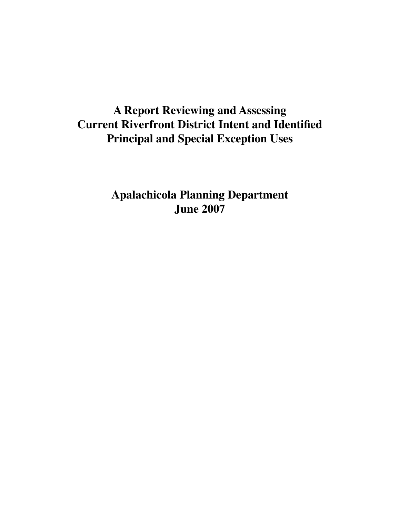# **A Report Reviewing and Assessing Current Riverfront District Intent and Identified Principal and Special Exception Uses**

**Apalachicola Planning Department June 2007**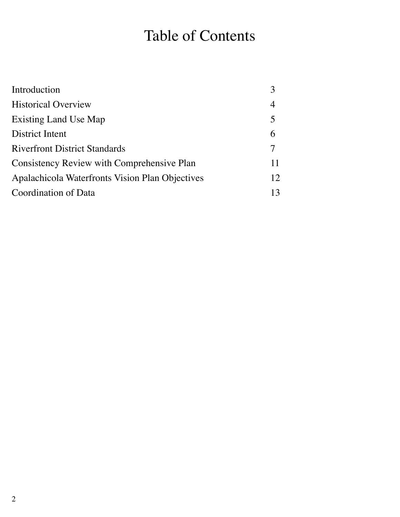# Table of Contents

| Introduction                                      |    |
|---------------------------------------------------|----|
| <b>Historical Overview</b>                        | 4  |
| Existing Land Use Map                             | 5  |
| District Intent                                   | 6  |
| <b>Riverfront District Standards</b>              |    |
| <b>Consistency Review with Comprehensive Plan</b> | 11 |
| Apalachicola Waterfronts Vision Plan Objectives   | 12 |
| Coordination of Data                              | 13 |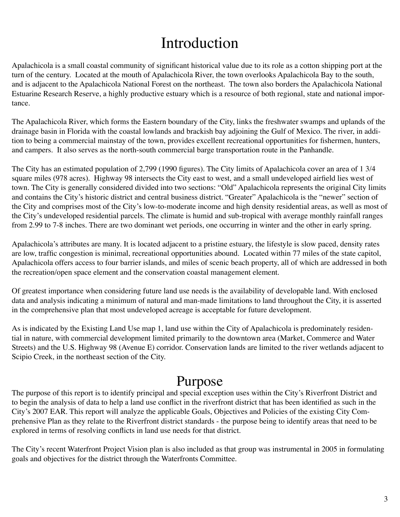# Introduction

Apalachicola is a small coastal community of significant historical value due to its role as a cotton shipping port at the turn of the century. Located at the mouth of Apalachicola River, the town overlooks Apalachicola Bay to the south, and is adjacent to the Apalachicola National Forest on the northeast. The town also borders the Apalachicola National Estuarine Research Reserve, a highly productive estuary which is a resource of both regional, state and national importance.

The Apalachicola River, which forms the Eastern boundary of the City, links the freshwater swamps and uplands of the drainage basin in Florida with the coastal lowlands and brackish bay adjoining the Gulf of Mexico. The river, in addition to being a commercial mainstay of the town, provides excellent recreational opportunities for fishermen, hunters, and campers. It also serves as the north-south commercial barge transportation route in the Panhandle.

The City has an estimated population of 2,799 (1990 figures). The City limits of Apalachicola cover an area of 1 3/4 square miles (978 acres). Highway 98 intersects the City east to west, and a small undeveloped airfield lies west of town. The City is generally considered divided into two sections: "Old" Apalachicola represents the original City limits and contains the City's historic district and central business district. "Greater" Apalachicola is the "newer" section of the City and comprises most of the City's low-to-moderate income and high density residential areas, as well as most of the City's undeveloped residential parcels. The climate is humid and sub-tropical with average monthly rainfall ranges from 2.99 to 7-8 inches. There are two dominant wet periods, one occurring in winter and the other in early spring.

Apalachicola's attributes are many. It is located adjacent to a pristine estuary, the lifestyle is slow paced, density rates are low, traffic congestion is minimal, recreational opportunities abound. Located within 77 miles of the state capitol, Apalachicola offers access to four barrier islands, and miles of scenic beach property, all of which are addressed in both the recreation/open space element and the conservation coastal management element.

Of greatest importance when considering future land use needs is the availability of developable land. With enclosed data and analysis indicating a minimum of natural and man-made limitations to land throughout the City, it is asserted in the comprehensive plan that most undeveloped acreage is acceptable for future development.

As is indicated by the Existing Land Use map 1, land use within the City of Apalachicola is predominately residential in nature, with commercial development limited primarily to the downtown area (Market, Commerce and Water Streets) and the U.S. Highway 98 (Avenue E) corridor. Conservation lands are limited to the river wetlands adjacent to Scipio Creek, in the northeast section of the City.

# Purpose

The purpose of this report is to identify principal and special exception uses within the City's Riverfront District and to begin the analysis of data to help a land use conflict in the riverfront district that has been identified as such in the City's 2007 EAR. This report will analyze the applicable Goals, Objectives and Policies of the existing City Comprehensive Plan as they relate to the Riverfront district standards - the purpose being to identify areas that need to be explored in terms of resolving conflicts in land use needs for that district.

The City's recent Waterfront Project Vision plan is also included as that group was instrumental in 2005 in formulating goals and objectives for the district through the Waterfronts Committee.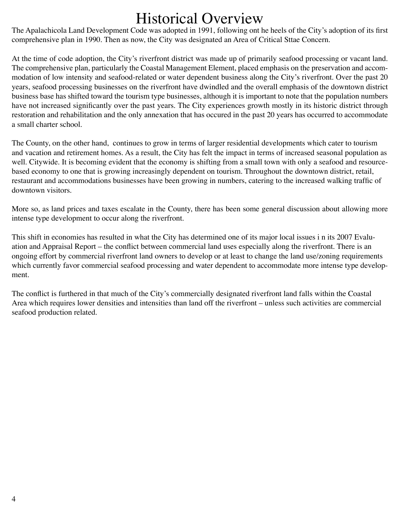# Historical Overview

The Apalachicola Land Development Code was adopted in 1991, following ont he heels of the City's adoption of its first comprehensive plan in 1990. Then as now, the City was designated an Area of Critical Sttae Concern.

At the time of code adoption, the City's riverfront district was made up of primarily seafood processing or vacant land. The comprehensive plan, particularly the Coastal Management Element, placed emphasis on the preservation and accommodation of low intensity and seafood-related or water dependent business along the City's riverfront. Over the past 20 years, seafood processing businesses on the riverfront have dwindled and the overall emphasis of the downtown district business base has shifted toward the tourism type businesses, although it is important to note that the population numbers have not increased significantly over the past years. The City experiences growth mostly in its historic district through restoration and rehabilitation and the only annexation that has occured in the past 20 years has occurred to accommodate a small charter school.

The County, on the other hand, continues to grow in terms of larger residential developments which cater to tourism and vacation and retirement homes. As a result, the City has felt the impact in terms of increased seasonal population as well. Citywide. It is becoming evident that the economy is shifting from a small town with only a seafood and resourcebased economy to one that is growing increasingly dependent on tourism. Throughout the downtown district, retail, restaurant and accommodations businesses have been growing in numbers, catering to the increased walking traffic of downtown visitors.

More so, as land prices and taxes escalate in the County, there has been some general discussion about allowing more intense type development to occur along the riverfront.

This shift in economies has resulted in what the City has determined one of its major local issues i n its 2007 Evaluation and Appraisal Report – the conflict between commercial land uses especially along the riverfront. There is an ongoing effort by commercial riverfront land owners to develop or at least to change the land use/zoning requirements which currently favor commercial seafood processing and water dependent to accommodate more intense type development.

The conflict is furthered in that much of the City's commercially designated riverfront land falls within the Coastal Area which requires lower densities and intensities than land off the riverfront – unless such activities are commercial seafood production related.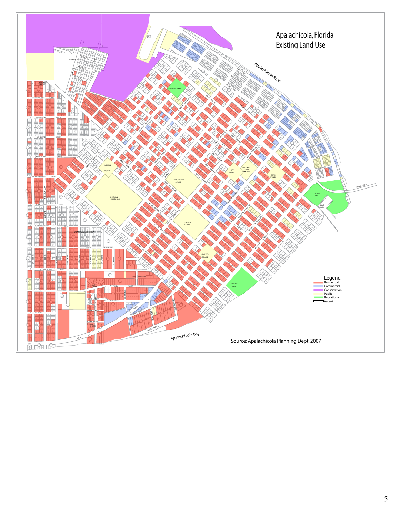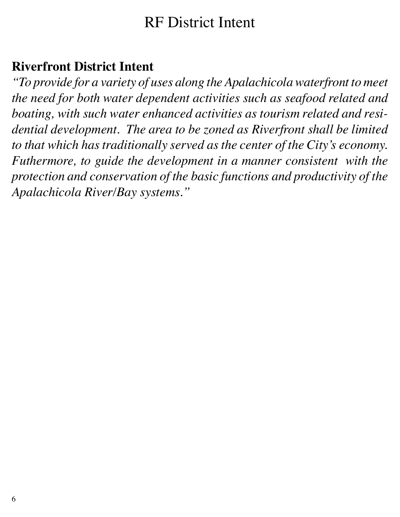# RF District Intent

# **Riverfront District Intent**

*"To provide for a variety of uses along the Apalachicola waterfront to meet the need for both water dependent activities such as seafood related and boating, with such water enhanced activities as tourism related and residential development. The area to be zoned as Riverfront shall be limited to that which has traditionally served as the center of the City's economy. Futhermore, to guide the development in a manner consistent with the protection and conservation of the basic functions and productivity of the Apalachicola River/Bay systems."*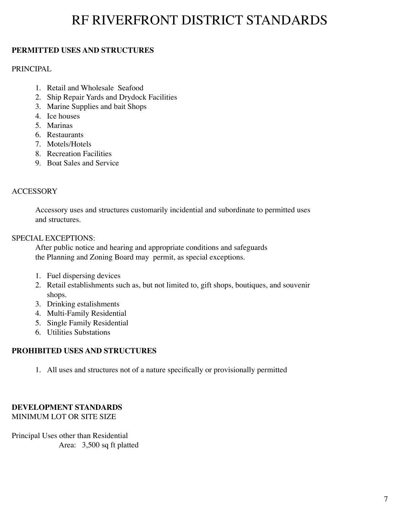# RF RIVERFRONT DISTRICT STANDARDS

# **PERMITTED USES AND STRUCTURES**

## PRINCIPAL

- 1. Retail and Wholesale Seafood
- 2. Ship Repair Yards and Drydock Facilities
- 3. Marine Supplies and bait Shops
- 4. Ice houses
- 5. Marinas
- 6. Restaurants
- 7. Motels/Hotels
- 8. Recreation Facilities
- 9. Boat Sales and Service

## **ACCESSORY**

Accessory uses and structures customarily incidential and subordinate to permitted uses and structures.

#### SPECIAL EXCEPTIONS:

After public notice and hearing and appropriate conditions and safeguards the Planning and Zoning Board may permit, as special exceptions.

- 1. Fuel dispersing devices
- 2. Retail establishments such as, but not limited to, gift shops, boutiques, and souvenir shops.
- 3. Drinking estalishments
- 4. Multi-Family Residential
- 5. Single Family Residential
- 6. Utilities Substations

## **PROHIBITED USES AND STRUCTURES**

1. All uses and structures not of a nature specifically or provisionally permitted

#### **DEVELOPMENT STANDARDS** MINIMUM LOT OR SITE SIZE

Principal Uses other than Residential Area: 3,500 sq ft platted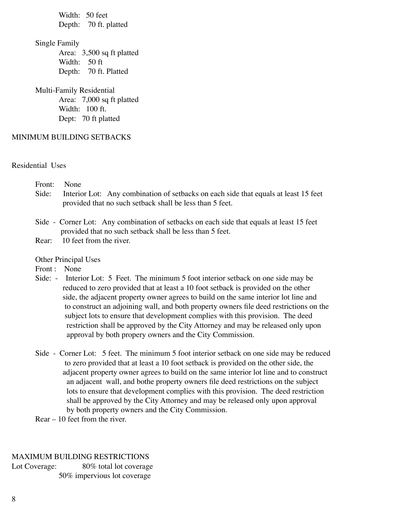Width: 50 feet Depth: 70 ft. platted

Single Family

 Area: 3,500 sq ft platted Width: 50 ft Depth: 70 ft. Platted

Multi-Family Residential

 Area: 7,000 sq ft platted Width: 100 ft. Dept: 70 ft platted

#### MINIMUM BUILDING SETBACKS

Residential Uses

| Front: None |                                                                                           |
|-------------|-------------------------------------------------------------------------------------------|
|             | Side: Interior Lot: Any combination of setbacks on each side that equals at least 15 feet |
|             | provided that no such set back shall be less than 5 feet.                                 |
|             |                                                                                           |

- Side Corner Lot: Any combination of setbacks on each side that equals at least 15 feet provided that no such setback shall be less than 5 feet.
- Rear: 10 feet from the river.

Other Principal Uses

Front : None

- Side: Interior Lot: 5 Feet. The minimum 5 foot interior setback on one side may be reduced to zero provided that at least a 10 foot setback is provided on the other side, the adjacent property owner agrees to build on the same interior lot line and to construct an adjoining wall, and both property owners file deed restrictions on the subject lots to ensure that development complies with this provision. The deed restriction shall be approved by the City Attorney and may be released only upon approval by both propery owners and the City Commission.
- Side Corner Lot: 5 feet. The minimum 5 foot interior setback on one side may be reduced to zero provided that at least a 10 foot setback is provided on the other side, the adjacent property owner agrees to build on the same interior lot line and to construct an adjacent wall, and bothe property owners file deed restrictions on the subject lots to ensure that development complies with this provision. The deed restriction shall be approved by the City Attorney and may be released only upon approval by both property owners and the City Commission.
- Rear 10 feet from the river.

#### MAXIMUM BUILDING RESTRICTIONS

Lot Coverage: 80% total lot coverage 50% impervious lot coverage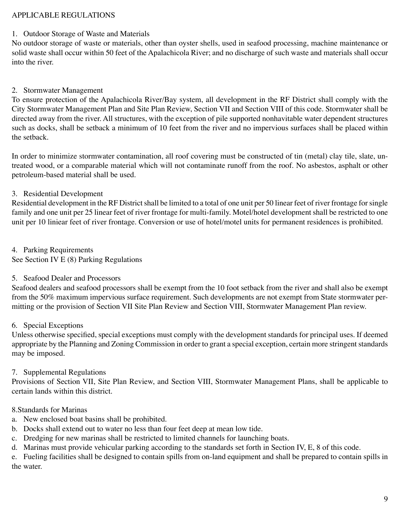### APPLICABLE REGULATIONS

#### 1. Outdoor Storage of Waste and Materials

No outdoor storage of waste or materials, other than oyster shells, used in seafood processing, machine maintenance or solid waste shall occur within 50 feet of the Apalachicola River; and no discharge of such waste and materials shall occur into the river.

#### 2. Stormwater Management

To ensure protection of the Apalachicola River/Bay system, all development in the RF District shall comply with the City Stormwater Management Plan and Site Plan Review, Section VII and Section VIII of this code. Stormwater shall be directed away from the river. All structures, with the exception of pile supported nonhavitable water dependent structures such as docks, shall be setback a minimum of 10 feet from the river and no impervious surfaces shall be placed within the setback.

In order to minimize stormwater contamination, all roof covering must be constructed of tin (metal) clay tile, slate, untreated wood, or a comparable material which will not contaminate runoff from the roof. No asbestos, asphalt or other petroleum-based material shall be used.

#### 3. Residential Development

Residential development in the RF District shall be limited to a total of one unit per 50 linear feet of river frontage for single family and one unit per 25 linear feet of river frontage for multi-family. Motel/hotel development shall be restricted to one unit per 10 liniear feet of river frontage. Conversion or use of hotel/motel units for permanent residences is prohibited.

4. Parking Requirements See Section IV E (8) Parking Regulations

#### 5. Seafood Dealer and Processors

Seafood dealers and seafood processors shall be exempt from the 10 foot setback from the river and shall also be exempt from the 50% maximum impervious surface requirement. Such developments are not exempt from State stormwater permitting or the provision of Section VII Site Plan Review and Section VIII, Stormwater Management Plan review.

#### 6. Special Exceptions

Unless otherwise specified, special exceptions must comply with the development standards for principal uses. If deemed appropriate by the Planning and Zoning Commission in order to grant a special exception, certain more stringent standards may be imposed.

## 7. Supplemental Regulations

Provisions of Section VII, Site Plan Review, and Section VIII, Stormwater Management Plans, shall be applicable to certain lands within this district.

#### 8.Standards for Marinas

- a. New enclosed boat basins shall be prohibited.
- b. Docks shall extend out to water no less than four feet deep at mean low tide.
- c. Dredging for new marinas shall be restricted to limited channels for launching boats.
- d. Marinas must provide vehicular parking according to the standards set forth in Section IV, E, 8 of this code.

e. Fueling facilities shall be designed to contain spills from on-land equipment and shall be prepared to contain spills in the water.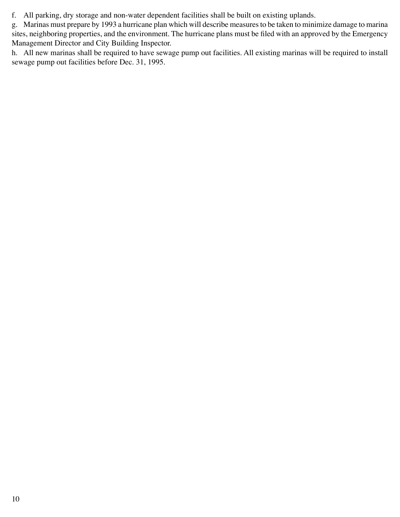f. All parking, dry storage and non-water dependent facilities shall be built on existing uplands.

g. Marinas must prepare by 1993 a hurricane plan which will describe measures to be taken to minimize damage to marina sites, neighboring properties, and the environment. The hurricane plans must be filed with an approved by the Emergency Management Director and City Building Inspector.

h. All new marinas shall be required to have sewage pump out facilities. All existing marinas will be required to install sewage pump out facilities before Dec. 31, 1995.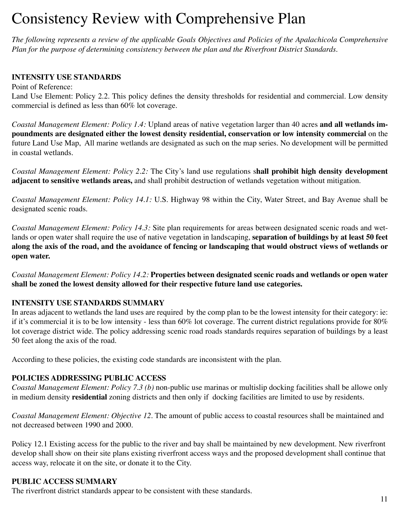# Consistency Review with Comprehensive Plan

*The following represents a review of the applicable Goals Objectives and Policies of the Apalachicola Comprehensive Plan for the purpose of determining consistency between the plan and the Riverfront District Standards.* 

## **INTENSITY USE STANDARDS**

Point of Reference: Land Use Element: Policy 2.2. This policy defines the density thresholds for residential and commercial. Low density commercial is defined as less than 60% lot coverage.

*Coastal Management Element: Policy 1.4:* Upland areas of native vegetation larger than 40 acres **and all wetlands impoundments are designated either the lowest density residential, conservation or low intensity commercial** on the future Land Use Map, All marine wetlands are designated as such on the map series. No development will be permitted in coastal wetlands.

*Coastal Management Element: Policy 2.2:* The City's land use regulations s**hall prohibit high density development adjacent to sensitive wetlands areas,** and shall prohibit destruction of wetlands vegetation without mitigation.

*Coastal Management Element: Policy 14.1:* U.S. Highway 98 within the City, Water Street, and Bay Avenue shall be designated scenic roads.

*Coastal Management Element: Policy 14.3:* Site plan requirements for areas between designated scenic roads and wetlands or open water shall require the use of native vegetation in landscaping, **separation of buildings by at least 50 feet along the axis of the road, and the avoidance of fencing or landscaping that would obstruct views of wetlands or open water.**

*Coastal Management Element: Policy 14.2:* **Properties between designated scenic roads and wetlands or open water shall be zoned the lowest density allowed for their respective future land use categories.** 

## **INTENSITY USE STANDARDS SUMMARY**

In areas adjacent to wetlands the land uses are required by the comp plan to be the lowest intensity for their category: ie: if it's commercial it is to be low intensity - less than 60% lot coverage. The current district regulations provide for 80% lot coverage district wide. The policy addressing scenic road roads standards requires separation of buildings by a least 50 feet along the axis of the road.

According to these policies, the existing code standards are inconsistent with the plan.

## **policies addressing public access**

*Coastal Management Element: Policy 7.3 (b)* non-public use marinas or multislip docking facilities shall be allowe only in medium density **residential** zoning districts and then only if docking facilities are limited to use by residents.

*Coastal Management Element: Objective 12.* The amount of public access to coastal resources shall be maintained and not decreased between 1990 and 2000.

Policy 12.1 Existing access for the public to the river and bay shall be maintained by new development. New riverfront develop shall show on their site plans existing riverfront access ways and the proposed development shall continue that access way, relocate it on the site, or donate it to the City.

## **PUBLIC ACCESS SUMMARY**

The riverfront district standards appear to be consistent with these standards.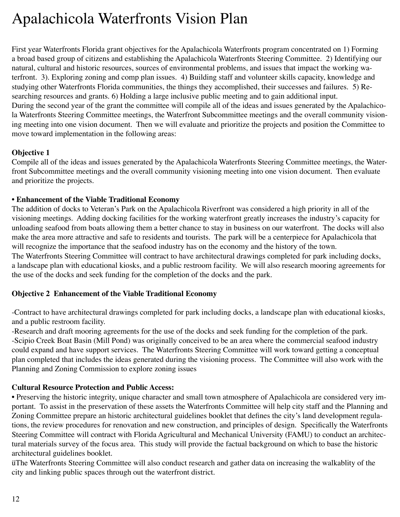# Apalachicola Waterfronts Vision Plan

First year Waterfronts Florida grant objectives for the Apalachicola Waterfronts program concentrated on 1) Forming a broad based group of citizens and establishing the Apalachicola Waterfronts Steering Committee. 2) Identifying our natural, cultural and historic resources, sources of environmental problems, and issues that impact the working waterfront. 3). Exploring zoning and comp plan issues. 4) Building staff and volunteer skills capacity, knowledge and studying other Waterfronts Florida communities, the things they accomplished, their successes and failures. 5) Researching resources and grants. 6) Holding a large inclusive public meeting and to gain additional input. During the second year of the grant the committee will compile all of the ideas and issues generated by the Apalachicola Waterfronts Steering Committee meetings, the Waterfront Subcommittee meetings and the overall community visioning meeting into one vision document. Then we will evaluate and prioritize the projects and position the Committee to move toward implementation in the following areas:

#### **Objective 1**

Compile all of the ideas and issues generated by the Apalachicola Waterfronts Steering Committee meetings, the Waterfront Subcommittee meetings and the overall community visioning meeting into one vision document. Then evaluate and prioritize the projects.

#### **• Enhancement of the Viable Traditional Economy**

The addition of docks to Veteran's Park on the Apalachicola Riverfront was considered a high priority in all of the visioning meetings. Adding docking facilities for the working waterfront greatly increases the industry's capacity for unloading seafood from boats allowing them a better chance to stay in business on our waterfront. The docks will also make the area more attractive and safe to residents and tourists. The park will be a centerpiece for Apalachicola that will recognize the importance that the seafood industry has on the economy and the history of the town.

The Waterfronts Steering Committee will contract to have architectural drawings completed for park including docks, a landscape plan with educational kiosks, and a public restroom facility. We will also research mooring agreements for the use of the docks and seek funding for the completion of the docks and the park.

#### **Objective 2 Enhancement of the Viable Traditional Economy**

-Contract to have architectural drawings completed for park including docks, a landscape plan with educational kiosks, and a public restroom facility.

-Research and draft mooring agreements for the use of the docks and seek funding for the completion of the park. -Scipio Creek Boat Basin (Mill Pond) was originally conceived to be an area where the commercial seafood industry could expand and have support services. The Waterfronts Steering Committee will work toward getting a conceptual plan completed that includes the ideas generated during the visioning process. The Committee will also work with the Planning and Zoning Commission to explore zoning issues

#### **Cultural Resource Protection and Public Access:**

• Preserving the historic integrity, unique character and small town atmosphere of Apalachicola are considered very important. To assist in the preservation of these assets the Waterfronts Committee will help city staff and the Planning and Zoning Committee prepare an historic architectural guidelines booklet that defines the city's land development regulations, the review procedures for renovation and new construction, and principles of design. Specifically the Waterfronts Steering Committee will contract with Florida Agricultural and Mechanical University (FAMU) to conduct an architectural materials survey of the focus area. This study will provide the factual background on which to base the historic architectural guidelines booklet.

üThe Waterfronts Steering Committee will also conduct research and gather data on increasing the walkablity of the city and linking public spaces through out the waterfront district.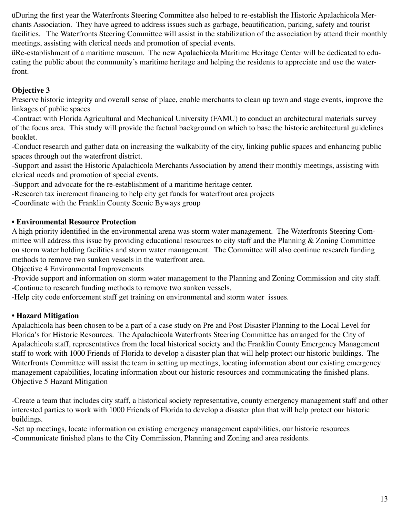üDuring the first year the Waterfronts Steering Committee also helped to re-establish the Historic Apalachicola Merchants Association. They have agreed to address issues such as garbage, beautification, parking, safety and tourist facilities. The Waterfronts Steering Committee will assist in the stabilization of the association by attend their monthly meetings, assisting with clerical needs and promotion of special events.

üRe-establishment of a maritime museum. The new Apalachicola Maritime Heritage Center will be dedicated to educating the public about the community's maritime heritage and helping the residents to appreciate and use the waterfront.

# **Objective 3**

Preserve historic integrity and overall sense of place, enable merchants to clean up town and stage events, improve the linkages of public spaces

-Contract with Florida Agricultural and Mechanical University (FAMU) to conduct an architectural materials survey of the focus area. This study will provide the factual background on which to base the historic architectural guidelines booklet.

-Conduct research and gather data on increasing the walkablity of the city, linking public spaces and enhancing public spaces through out the waterfront district.

-Support and assist the Historic Apalachicola Merchants Association by attend their monthly meetings, assisting with clerical needs and promotion of special events.

-Support and advocate for the re-establishment of a maritime heritage center.

-Research tax increment financing to help city get funds for waterfront area projects

-Coordinate with the Franklin County Scenic Byways group

## **• Environmental Resource Protection**

A high priority identified in the environmental arena was storm water management. The Waterfronts Steering Committee will address this issue by providing educational resources to city staff and the Planning & Zoning Committee on storm water holding facilities and storm water management. The Committee will also continue research funding methods to remove two sunken vessels in the waterfront area.

Objective 4 Environmental Improvements

-Provide support and information on storm water management to the Planning and Zoning Commission and city staff. -Continue to research funding methods to remove two sunken vessels.

-Help city code enforcement staff get training on environmental and storm water issues.

## **• Hazard Mitigation**

Apalachicola has been chosen to be a part of a case study on Pre and Post Disaster Planning to the Local Level for Florida's for Historic Resources. The Apalachicola Waterfronts Steering Committee has arranged for the City of Apalachicola staff, representatives from the local historical society and the Franklin County Emergency Management staff to work with 1000 Friends of Florida to develop a disaster plan that will help protect our historic buildings. The Waterfronts Committee will assist the team in setting up meetings, locating information about our existing emergency management capabilities, locating information about our historic resources and communicating the finished plans. Objective 5 Hazard Mitigation

-Create a team that includes city staff, a historical society representative, county emergency management staff and other interested parties to work with 1000 Friends of Florida to develop a disaster plan that will help protect our historic buildings.

-Set up meetings, locate information on existing emergency management capabilities, our historic resources -Communicate finished plans to the City Commission, Planning and Zoning and area residents.